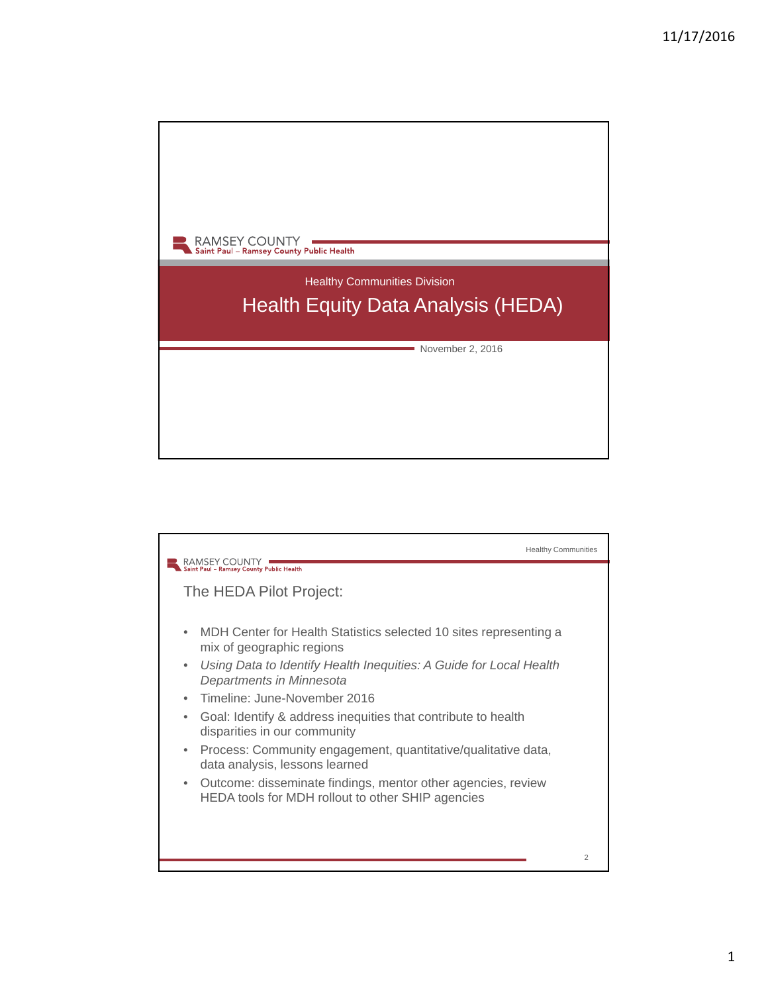

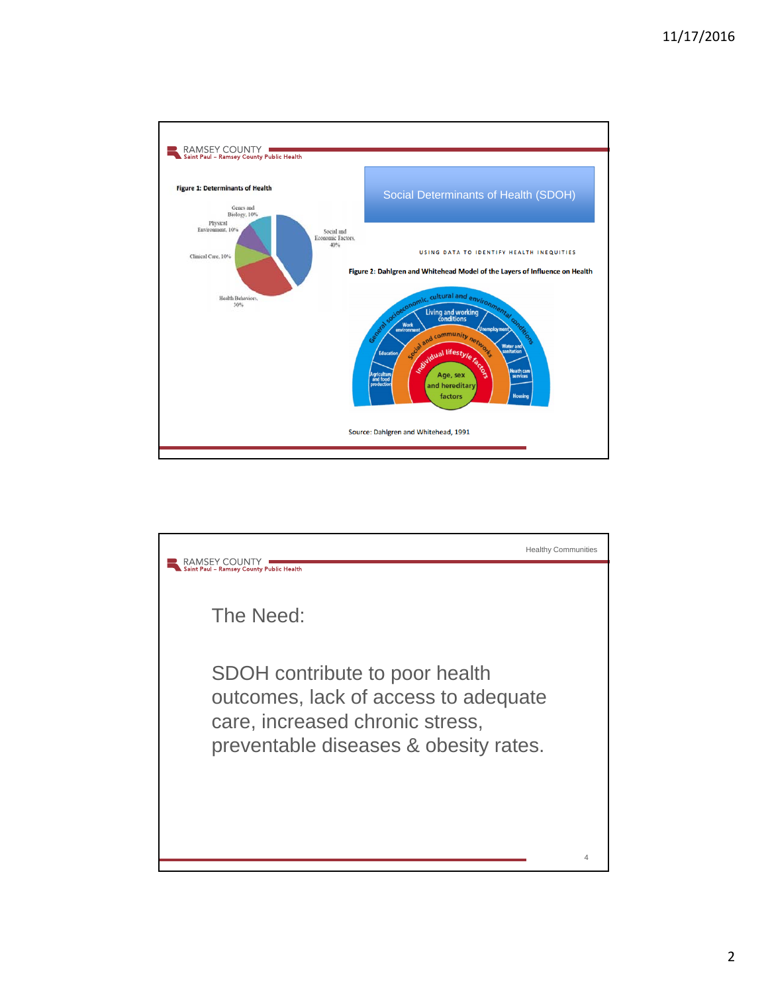

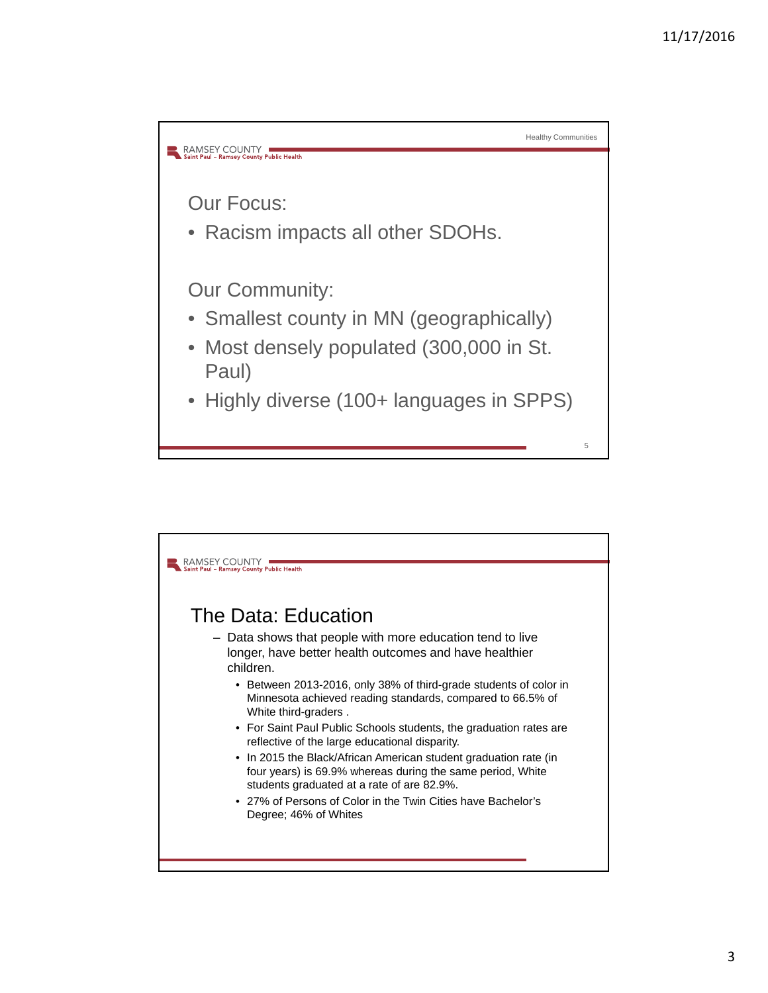

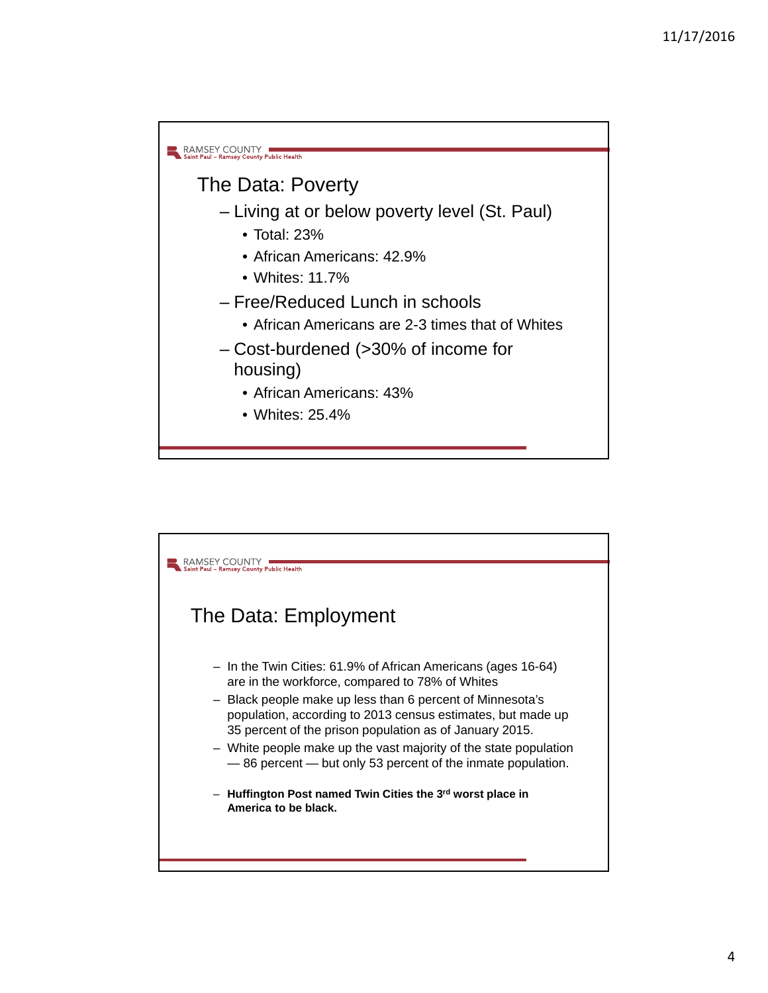

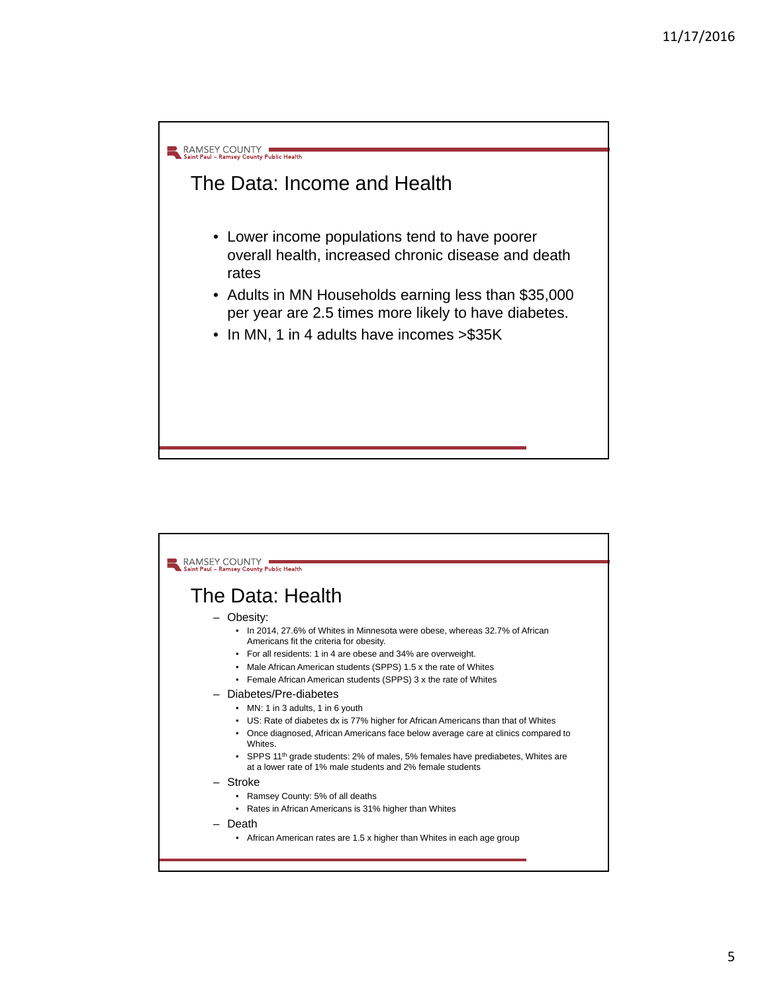

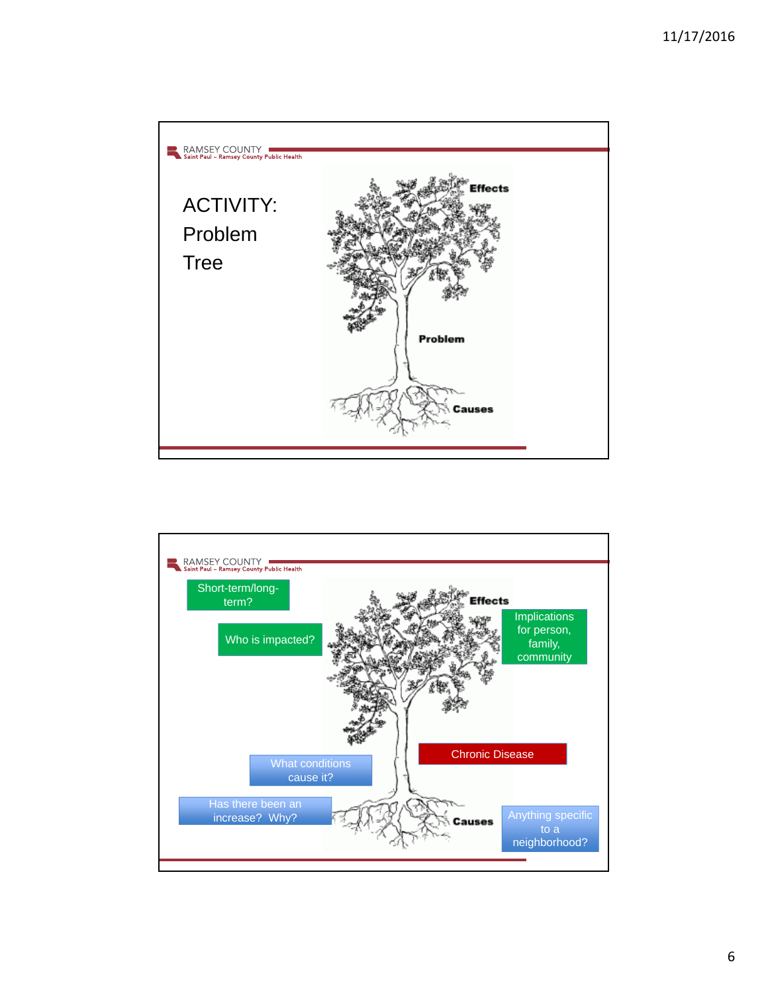

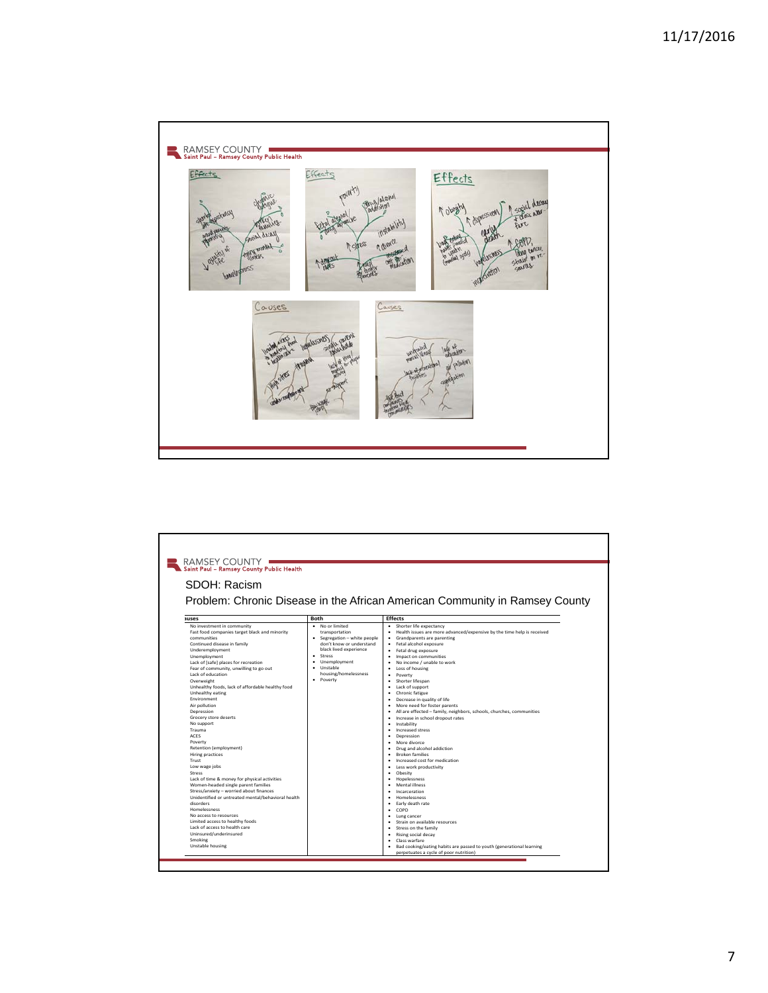

| Saint Paul - Ramsey County Public Health<br>SDOH: Racism<br>Problem: Chronic Disease in the African American Community in Ramsey County                                                                                                                                                                                                                                                                                                                                                                                                                                                                                                                                                                                                                                                                                                                                                                                                                               |                                                                                                                                                                                                                         |                                                                                                                                                                                                                                                                                                                                                                                                                                                                                                                                                                                                                                                                                                                                                                                                                                                                                                                                                                                                                                                                                                                                                                                         |  |  |  |  |
|-----------------------------------------------------------------------------------------------------------------------------------------------------------------------------------------------------------------------------------------------------------------------------------------------------------------------------------------------------------------------------------------------------------------------------------------------------------------------------------------------------------------------------------------------------------------------------------------------------------------------------------------------------------------------------------------------------------------------------------------------------------------------------------------------------------------------------------------------------------------------------------------------------------------------------------------------------------------------|-------------------------------------------------------------------------------------------------------------------------------------------------------------------------------------------------------------------------|-----------------------------------------------------------------------------------------------------------------------------------------------------------------------------------------------------------------------------------------------------------------------------------------------------------------------------------------------------------------------------------------------------------------------------------------------------------------------------------------------------------------------------------------------------------------------------------------------------------------------------------------------------------------------------------------------------------------------------------------------------------------------------------------------------------------------------------------------------------------------------------------------------------------------------------------------------------------------------------------------------------------------------------------------------------------------------------------------------------------------------------------------------------------------------------------|--|--|--|--|
| auses                                                                                                                                                                                                                                                                                                                                                                                                                                                                                                                                                                                                                                                                                                                                                                                                                                                                                                                                                                 | <b>Both</b>                                                                                                                                                                                                             | <b>Effects</b>                                                                                                                                                                                                                                                                                                                                                                                                                                                                                                                                                                                                                                                                                                                                                                                                                                                                                                                                                                                                                                                                                                                                                                          |  |  |  |  |
| No investment in community<br>Fast food companies target black and minority<br>communities<br>Continued disease in family<br>Underemployment<br>Unemployment<br>Lack of [safe] places for recreation<br>Fear of community, unwilling to go out<br>Lack of education<br>Overweight<br>Unhealthy foods, lack of affordable healthy food<br>Unhealthy eating<br>Environment<br>Air pollution<br>Depression<br>Grocery store deserts<br>No support<br>Trauma<br><b>ACES</b><br>Poverty<br>Retention (employment)<br><b>Hiring practices</b><br>Trust<br>Low wage jobs<br><b>Stress</b><br>Lack of time & money for physical activities<br>Women-headed single parent families<br>Stress/anxiety - worried about finances<br>Unidentified or untreated mental/behavioral health<br>disorders<br><b>Homelessness</b><br>No access to resources<br>Limited access to healthy foods<br>Lack of access to health care<br>Uninsured/underinsured<br>Smoking<br>Unstable housing | · No or limited<br>transportation<br>Segregation - white people<br>٠<br>don't know or understand<br>black lived experience<br>Stress<br>٠<br>Unemployment<br>٠<br>Unstable<br>٠<br>housing/homelessness<br>Poverty<br>٠ | Shorter life expectancy<br>٠<br>Health issues are more advanced/expensive by the time help is received<br>٠<br>Grandparents are parenting<br>٠<br>Fetal alcohol exposure<br>٠<br>Fetal drug exposure<br>٠<br>Impact on communities<br>٠<br>No income / unable to work<br>$\bullet$<br>Loss of housing<br>٠<br>Poverty<br>٠<br>Shorter lifespan<br>٠<br>Lack of support<br>٠<br>Chronic fatigue<br>٠<br>Decrease in quality of life<br>٠<br>More need for foster parents<br>٠<br>All are effected - family, neighbors, schools, churches, communities<br>٠<br>Increase in school dropout rates<br>٠<br>Instability<br>٠<br>Increased stress<br>٠<br>Depression<br>٠<br>More divorce<br>٠<br>Drug and alcohol addiction<br>٠<br><b>Broken families</b><br>٠<br>Increased cost for medication<br>٠<br>Less work productivity<br>٠<br>Obesity<br>٠<br>Hopelessness<br>٠<br>Mental illness<br>٠<br>Incarceration<br>Homelessness<br>٠<br>Early death rate<br>٠<br>COPD<br>٠<br>Lung cancer<br>٠<br>Strain on available resources<br>Stress on the family<br>٠<br>Rising social decay<br>٠<br>Class warfare<br>٠<br>Bad cooking/eating habits are passed to youth (generational learning<br>٠ |  |  |  |  |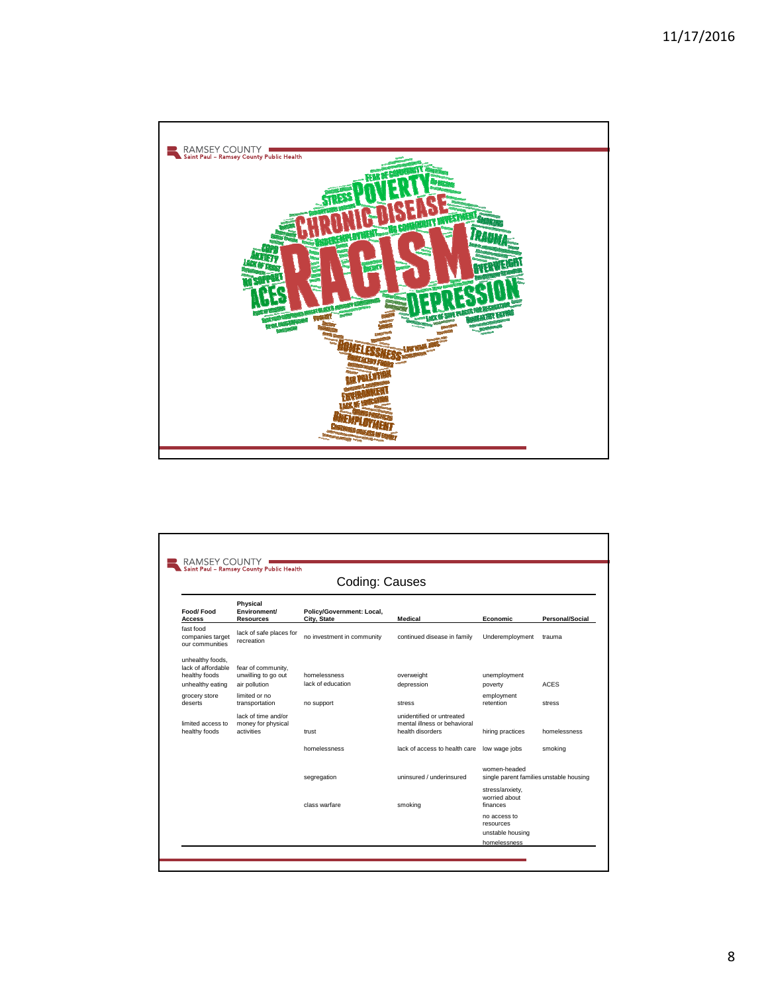

| Coding: Causes                                          |                                                         |                                          |                                                                               |                                                         |                        |  |
|---------------------------------------------------------|---------------------------------------------------------|------------------------------------------|-------------------------------------------------------------------------------|---------------------------------------------------------|------------------------|--|
| Food/Food<br><b>Access</b>                              | Physical<br>Environment/<br><b>Resources</b>            | Policy/Government: Local,<br>City, State | Medical                                                                       | <b>Economic</b>                                         | <b>Personal/Social</b> |  |
| fast food<br>companies target<br>our communities        | lack of safe places for<br>recreation                   | no investment in community               | continued disease in family                                                   | Underemployment                                         | trauma                 |  |
| unhealthy foods,<br>lack of affordable<br>healthy foods | fear of community,<br>unwilling to go out               | homelessness                             | overweight                                                                    | unemployment                                            |                        |  |
| unhealthy eating                                        | air pollution                                           | lack of education                        | depression                                                                    | poverty                                                 | <b>ACES</b>            |  |
| grocery store<br>deserts                                | limited or no<br>transportation                         | no support                               | stress                                                                        | employment<br>retention                                 | stress                 |  |
| limited access to<br>healthy foods                      | lack of time and/or<br>money for physical<br>activities | trust                                    | unidentified or untreated<br>mental illness or behavioral<br>health disorders | hiring practices                                        | homelessness           |  |
|                                                         |                                                         | homelessness                             | lack of access to health care                                                 | low wage jobs                                           | smoking                |  |
|                                                         |                                                         | segregation                              | uninsured / underinsured                                                      | women-headed<br>single parent families unstable housing |                        |  |
|                                                         |                                                         | class warfare                            | smoking                                                                       | stress/anxiety,<br>worried about<br>finances            |                        |  |
|                                                         |                                                         |                                          |                                                                               | no access to<br>resources                               |                        |  |
|                                                         |                                                         |                                          |                                                                               | unstable housing                                        |                        |  |
|                                                         |                                                         |                                          |                                                                               | homelessness                                            |                        |  |